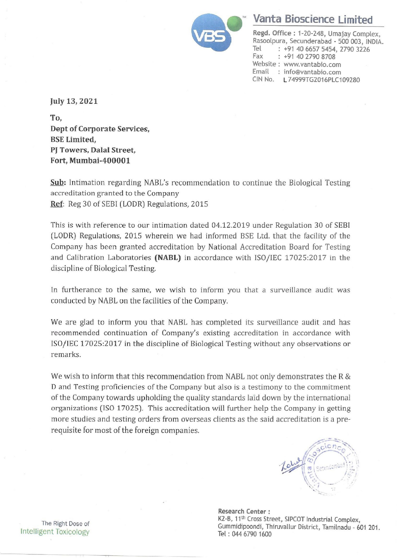

## <u>Vanta Bioscie</u> Vanta Bioscience Limited

Regd. Office : 1-20-248, Umajay Complex, Rasoolpura, Secunderabad - 500 003, INDIA.<br>Tel : +91 40 6657 5454, 2790 3226 : +91 40 6657 5454, 2790 3226 Fax : +91 40 2790 8708 Website : www.vantabio.com Email : info@vantabio.com CIN No. L74999TG2016PLC109280

July 13, 2021

To, Dept of Corporate Services, BSE Limited, PJ Towers, Dalal Street, Fort, Mumbai-400001

Sub: Intimation regarding NABL's recommendation to continue the Biological Testing accreditation granted to the Company Ref: Reg 30 of SEB] (LODR) Regulations, 2015

This is with reference to our intimation dated 04.12.2019 under Regulation 30 of SEBI (LODR) Regulations, 2015 wherein we had informed BSE Ltd. that the facility of the Company has been granted accreditation by National Accreditation Board for Testing and Calibration Laboratories (NABL) in accordance with ISO/IEC 17025:2017 in the discipline of Biological Testing.

In furtherance to the same, we wish to inform you that a surveillance audit was conducted by NABL on the facilities of the Company.

We are glad to inform you that NABL has completed its surveillance audit and has recommended continuation of Company's existing accreditation in accordance with ISO/IEC 17025:2017 in the discipline of Biological Testing without any observations or remarks.

We wish to inform that this recommendation from NABL not only demonstrates the R & D and Testing proficiencies of the Company but also is a testimony to the commitment of the Company towards upholding the quality standards laid down by the international organizations (ISO 17025). This accreditation will further help the Company in getting more studies and testing orders from overseas clients as the said accreditation is a prerequisite for most of the foreign companies.



t, Tam<br>. Research Center : The Right Dose of Gummidipoondi, The Right Dose of Gummidipoondi, Thiruvallur District, Tamilnadu - 601 201.<br>Intelligent Toxicology Tel : 044 6790 1600